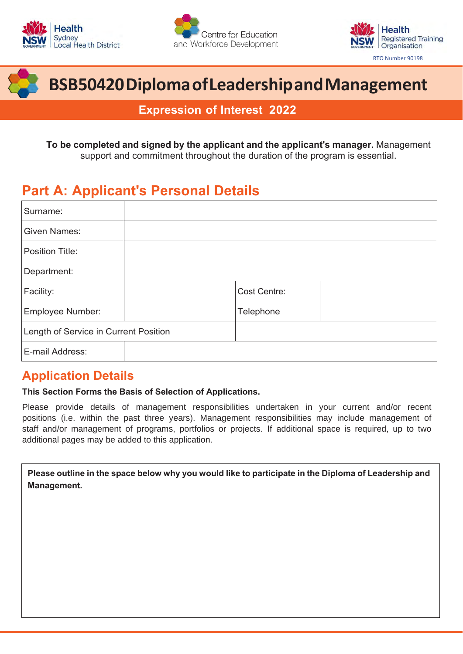







# **BSB50420 Diploma of Leadership and Management**

**Expression of Interest 2022**

**To be completed and signed by the applicant and the applicant's manager.** Management support and commitment throughout the duration of the program is essential.

## **Part A: Applicant's Personal Details**

| Surname:                              |  |              |  |
|---------------------------------------|--|--------------|--|
| <b>Given Names:</b>                   |  |              |  |
| Position Title:                       |  |              |  |
| Department:                           |  |              |  |
| Facility:                             |  | Cost Centre: |  |
| Employee Number:                      |  | Telephone    |  |
| Length of Service in Current Position |  |              |  |
| E-mail Address:                       |  |              |  |

### **Application Details**

#### **This Section Forms the Basis of Selection of Applications.**

Please provide details of management responsibilities undertaken in your current and/or recent positions (i.e. within the past three years). Management responsibilities may include management of staff and/or management of programs, portfolios or projects. If additional space is required, up to two additional pages may be added to this application.

Please outline in the space below why you would like to participate in the Diploma of Leadership and **Management.**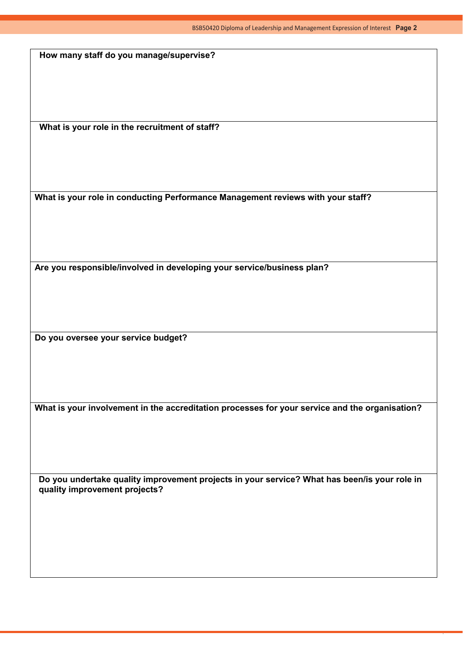**How many staff do you manage/supervise?**

**What is your role in the recruitment of staff?** 

**What is your role in conducting Performance Management reviews with your staff?** 

**Are you responsible/involved in developing your service/business plan?** 

**Do you oversee your service budget?** 

**What is your involvement in the accreditation processes for your service and the organisation?** 

**Do you undertake quality improvement projects in your service? What has been/is your role in quality improvement projects?**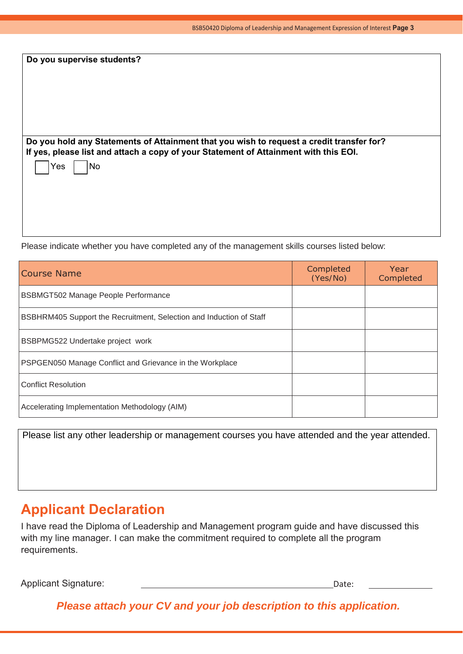| Do you supervise students?                                                                                                                                                       |  |
|----------------------------------------------------------------------------------------------------------------------------------------------------------------------------------|--|
|                                                                                                                                                                                  |  |
|                                                                                                                                                                                  |  |
| Do you hold any Statements of Attainment that you wish to request a credit transfer for?<br>If yes, please list and attach a copy of your Statement of Attainment with this EOI. |  |
| No<br>Yes                                                                                                                                                                        |  |
|                                                                                                                                                                                  |  |
|                                                                                                                                                                                  |  |

Please indicate whether you have completed any of the management skills courses listed below:

| Course Name                                                                | Completed<br>(Yes/No) | Year<br>Completed |
|----------------------------------------------------------------------------|-----------------------|-------------------|
| <b>BSBMGT502 Manage People Performance</b>                                 |                       |                   |
| <b>BSBHRM405 Support the Recruitment, Selection and Induction of Staff</b> |                       |                   |
| BSBPMG522 Undertake project work                                           |                       |                   |
| <b>PSPGEN050 Manage Conflict and Grievance in the Workplace</b>            |                       |                   |
| <b>Conflict Resolution</b>                                                 |                       |                   |
| Accelerating Implementation Methodology (AIM)                              |                       |                   |

Please list any other leadership or management courses you have attended and the year attended.

### **Applicant Declaration**

I have read the Diploma of Leadership and Management program guide and have discussed this with my line manager. I can make the commitment required to complete all the program requirements.

Applicant Signature: Date: Date: Date: Date: Date: Date: Date: Date: Date: Date: Date: Date: Date: Date: Date: Date: Date: Date: Date: Date: Date: Date: Date: Date: Date: Date: Date: Date: Date: Date: Date: Date: Date: Dat

*Please attach your CV and your job description to this application.*